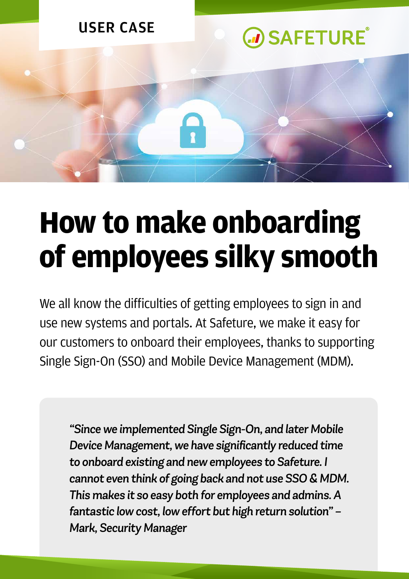

## **How to make onboarding of employees silky smooth**

We all know the difficulties of getting employees to sign in and use new systems and portals. At Safeture, we make it easy for our customers to onboard their employees, thanks to supporting Single Sign-On (SSO) and Mobile Device Management (MDM).

*"Since we implemented Single Sign-On, and later Mobile Device Management, we have significantly reduced time to onboard existing and new employees to Safeture. I cannot even think of going back and not use SSO & MDM. This makes it so easy both for employees and admins. A fantastic low cost, low effort but high return solution" – Mark, Security Manager*